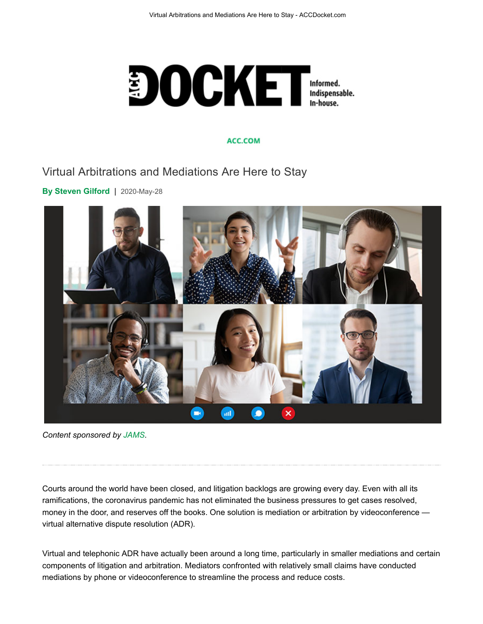

#### ACC.COM

### Virtual Arbitrations and Mediations Are Here to Stay

**By Steven Gilford** | 2020-May-28



*Content sponsored by JAMS.*

Courts around the world have been closed, and litigation backlogs are growing every day. Even with all its ramifications, the coronavirus pandemic has not eliminated the business pressures to get cases resolved, money in the door, and reserves off the books. One solution is mediation or arbitration by videoconference virtual alternative dispute resolution (ADR).

Virtual and telephonic ADR have actually been around a long time, particularly in smaller mediations and certain components of litigation and arbitration. Mediators confronted with relatively small claims have conducted mediations by phone or videoconference to streamline the process and reduce costs.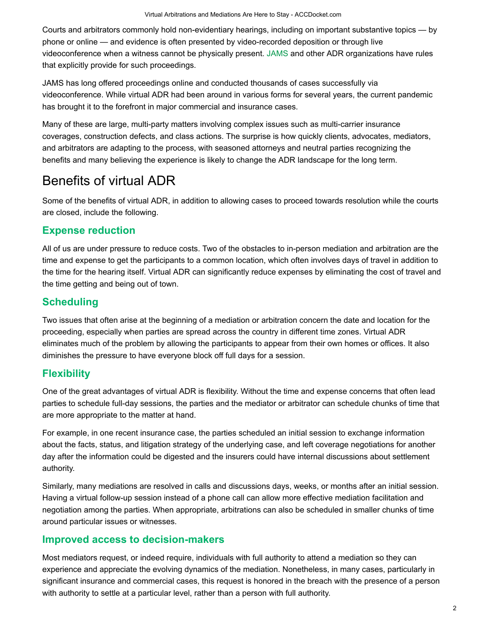Courts and arbitrators commonly hold non-evidentiary hearings, including on important substantive topics — by phone or online — and evidence is often presented by video-recorded deposition or through live videoconference when a witness cannot be physically present. JAMS and other ADR organizations have rules that explicitly provide for such proceedings.

JAMS has long offered proceedings online and conducted thousands of cases successfully via videoconference. While virtual ADR had been around in various forms for several years, the current pandemic has brought it to the forefront in major commercial and insurance cases.

Many of these are large, multi-party matters involving complex issues such as multi-carrier insurance coverages, construction defects, and class actions. The surprise is how quickly clients, advocates, mediators, and arbitrators are adapting to the process, with seasoned attorneys and neutral parties recognizing the benefits and many believing the experience is likely to change the ADR landscape for the long term.

# Benefits of virtual ADR

Some of the benefits of virtual ADR, in addition to allowing cases to proceed towards resolution while the courts are closed, include the following.

#### **Expense reduction**

All of us are under pressure to reduce costs. Two of the obstacles to in-person mediation and arbitration are the time and expense to get the participants to a common location, which often involves days of travel in addition to the time for the hearing itself. Virtual ADR can significantly reduce expenses by eliminating the cost of travel and the time getting and being out of town.

### **Scheduling**

Two issues that often arise at the beginning of a mediation or arbitration concern the date and location for the proceeding, especially when parties are spread across the country in different time zones. Virtual ADR eliminates much of the problem by allowing the participants to appear from their own homes or offices. It also diminishes the pressure to have everyone block off full days for a session.

#### **Flexibility**

One of the great advantages of virtual ADR is flexibility. Without the time and expense concerns that often lead parties to schedule full-day sessions, the parties and the mediator or arbitrator can schedule chunks of time that are more appropriate to the matter at hand.

For example, in one recent insurance case, the parties scheduled an initial session to exchange information about the facts, status, and litigation strategy of the underlying case, and left coverage negotiations for another day after the information could be digested and the insurers could have internal discussions about settlement authority.

Similarly, many mediations are resolved in calls and discussions days, weeks, or months after an initial session. Having a virtual follow-up session instead of a phone call can allow more effective mediation facilitation and negotiation among the parties. When appropriate, arbitrations can also be scheduled in smaller chunks of time around particular issues or witnesses.

#### **Improved access to decision-makers**

Most mediators request, or indeed require, individuals with full authority to attend a mediation so they can experience and appreciate the evolving dynamics of the mediation. Nonetheless, in many cases, particularly in significant insurance and commercial cases, this request is honored in the breach with the presence of a person with authority to settle at a particular level, rather than a person with full authority.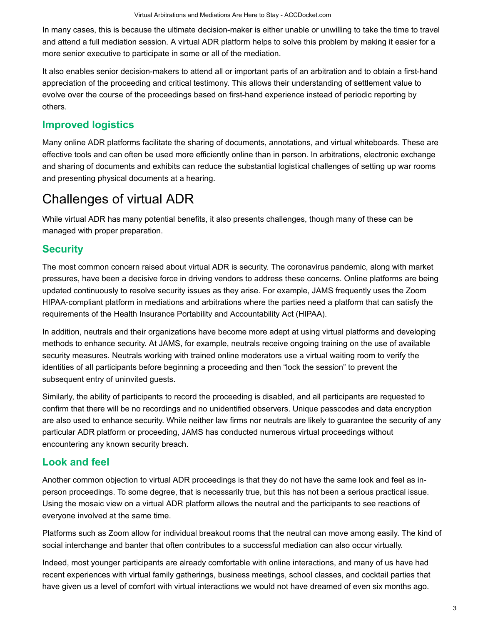In many cases, this is because the ultimate decision-maker is either unable or unwilling to take the time to travel and attend a full mediation session. A virtual ADR platform helps to solve this problem by making it easier for a more senior executive to participate in some or all of the mediation.

It also enables senior decision-makers to attend all or important parts of an arbitration and to obtain a first-hand appreciation of the proceeding and critical testimony. This allows their understanding of settlement value to evolve over the course of the proceedings based on first-hand experience instead of periodic reporting by others.

# **Improved logistics**

Many online ADR platforms facilitate the sharing of documents, annotations, and virtual whiteboards. These are effective tools and can often be used more efficiently online than in person. In arbitrations, electronic exchange and sharing of documents and exhibits can reduce the substantial logistical challenges of setting up war rooms and presenting physical documents at a hearing.

# Challenges of virtual ADR

While virtual ADR has many potential benefits, it also presents challenges, though many of these can be managed with proper preparation.

# **Security**

The most common concern raised about virtual ADR is security. The coronavirus pandemic, along with market pressures, have been a decisive force in driving vendors to address these concerns. Online platforms are being updated continuously to resolve security issues as they arise. For example, JAMS frequently uses the Zoom HIPAA-compliant platform in mediations and arbitrations where the parties need a platform that can satisfy the requirements of the Health Insurance Portability and Accountability Act (HIPAA).

In addition, neutrals and their organizations have become more adept at using virtual platforms and developing methods to enhance security. At JAMS, for example, neutrals receive ongoing training on the use of available security measures. Neutrals working with trained online moderators use a virtual waiting room to verify the identities of all participants before beginning a proceeding and then "lock the session" to prevent the subsequent entry of uninvited guests.

Similarly, the ability of participants to record the proceeding is disabled, and all participants are requested to confirm that there will be no recordings and no unidentified observers. Unique passcodes and data encryption are also used to enhance security. While neither law firms nor neutrals are likely to guarantee the security of any particular ADR platform or proceeding, JAMS has conducted numerous virtual proceedings without encountering any known security breach.

### **Look and feel**

Another common objection to virtual ADR proceedings is that they do not have the same look and feel as inperson proceedings. To some degree, that is necessarily true, but this has not been a serious practical issue. Using the mosaic view on a virtual ADR platform allows the neutral and the participants to see reactions of everyone involved at the same time.

Platforms such as Zoom allow for individual breakout rooms that the neutral can move among easily. The kind of social interchange and banter that often contributes to a successful mediation can also occur virtually.

Indeed, most younger participants are already comfortable with online interactions, and many of us have had recent experiences with virtual family gatherings, business meetings, school classes, and cocktail parties that have given us a level of comfort with virtual interactions we would not have dreamed of even six months ago.